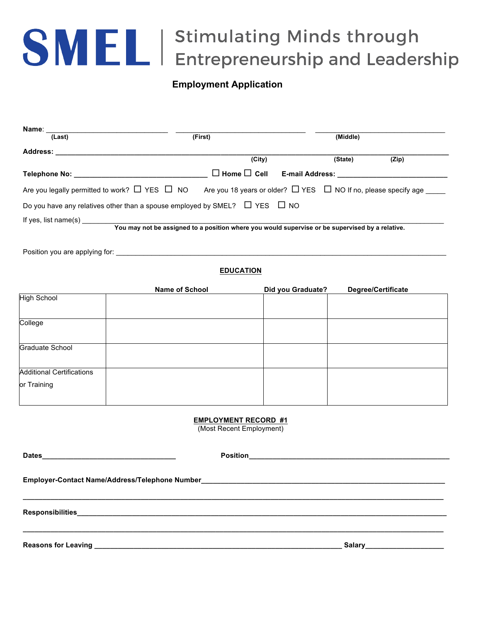## SMEL | Stimulating Minds through<br>
EL | Entrepreneurship and Leadership

## **Employment Application**

| Name:                                                                                                                                                                                                                               |                                                                                                 |                        |          |                                                                                  |
|-------------------------------------------------------------------------------------------------------------------------------------------------------------------------------------------------------------------------------------|-------------------------------------------------------------------------------------------------|------------------------|----------|----------------------------------------------------------------------------------|
| (Last)                                                                                                                                                                                                                              | (First)                                                                                         |                        | (Middle) |                                                                                  |
| <b>Address:</b>                                                                                                                                                                                                                     |                                                                                                 |                        |          |                                                                                  |
|                                                                                                                                                                                                                                     | (City)                                                                                          |                        | (State)  | (Zip)                                                                            |
| <b>Telephone No:</b> The contract of the contract of the contract of the contract of the contract of the contract of the contract of the contract of the contract of the contract of the contract of the contract of the contract o | $\Box$ Home $\Box$ Cell                                                                         | <b>E-mail Address:</b> |          |                                                                                  |
| Are you legally permitted to work? $\Box$ YES $\Box$ NO                                                                                                                                                                             |                                                                                                 |                        |          | Are you 18 years or older? $\Box$ YES $\Box$ NO If no, please specify age $\Box$ |
| Do you have any relatives other than a spouse employed by SMEL? $\Box$ YES $\Box$ NO                                                                                                                                                |                                                                                                 |                        |          |                                                                                  |
| If yes, list name(s) $\overline{\phantom{a}}$                                                                                                                                                                                       |                                                                                                 |                        |          |                                                                                  |
|                                                                                                                                                                                                                                     | You may not be assigned to a position where you would supervise or be supervised by a relative. |                        |          |                                                                                  |

Position you are applying for:

## **EDUCATION**

|                                  | <b>Name of School</b> | Did you Graduate? | Degree/Certificate |
|----------------------------------|-----------------------|-------------------|--------------------|
| <b>High School</b>               |                       |                   |                    |
|                                  |                       |                   |                    |
| College                          |                       |                   |                    |
|                                  |                       |                   |                    |
| Graduate School                  |                       |                   |                    |
|                                  |                       |                   |                    |
| <b>Additional Certifications</b> |                       |                   |                    |
| or Training                      |                       |                   |                    |
|                                  |                       |                   |                    |

## **EMPLOYMENT RECORD #1**

(Most Recent Employment)

| Reasons for Leaving the contract of the contract of the contract of the contract of the contract of the contract of the contract of the contract of the contract of the contract of the contract of the contract of the contra | Salary_______________________ |
|--------------------------------------------------------------------------------------------------------------------------------------------------------------------------------------------------------------------------------|-------------------------------|
|                                                                                                                                                                                                                                |                               |